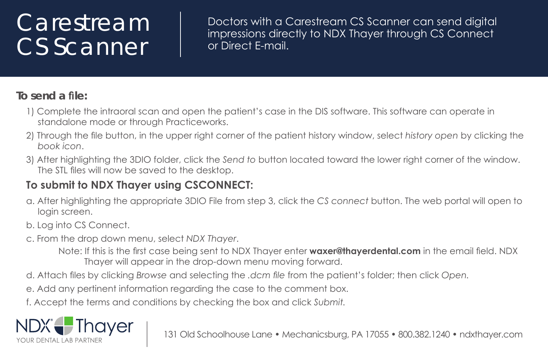## **Carestream** CS Scanner

Doctors with a Carestream CS Scanner can send digital impressions directly to NDX Thayer through CS Connect or Direct F-mail.

## **To send a file:**

- 1) Complete the intraoral scan and open the patient's case in the DIS software. This software can operate in standalone mode or through Practiceworks.
- 2) Through the file button, in the upper right corner of the patient history window, select history open by clicking the *noci koob* .
- 3) After highlighting the 3DIO folder, click the Send to button located toward the lower right corner of the window. The STL files will now be saved to the desktop.

## **To submit to NDX Thayer using CSCONNECT:**

- a. After highlighting the appropriate 3DIO File from step 3, click the CS connect button. The web portal will open to login screen.
- b. Log into CS Connect.
- c. From the drop down menu, select NDX Thayer.
	- Note: If this is the first case being sent to NDX Thayer enter **waxer@thayerdental.com** in the email field. NDX Thayer will appear in the drop-down menu moving forward.
- d. Attach files by clicking Browse and selecting the *.dcm* file from the patient's folder; then click Open.
- e. Add any pertinent information regarding the case to the comment box.
- f. Accept the terms and conditions by checking the box and click *Submit.*



131 Old Schoolhouse Lane • Mechanicsbura, PA 17055 • 800.382.1240 • ndxthaver.com